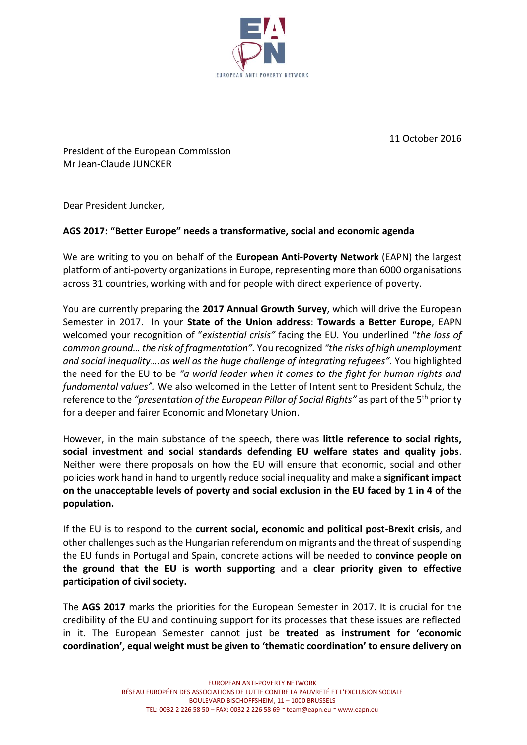

11 October 2016

President of the European Commission Mr Jean-Claude JUNCKER

Dear President Juncker,

## **AGS 2017: "Better Europe" needs a transformative, social and economic agenda**

We are writing to you on behalf of the **European Anti-Poverty Network** (EAPN) the largest platform of anti-poverty organizations in Europe, representing more than 6000 organisations across 31 countries, working with and for people with direct experience of poverty.

You are currently preparing the **2017 Annual Growth Survey**, which will drive the European Semester in 2017. In your **State of the Union address**: **Towards a Better Europe**, EAPN welcomed your recognition of "*existential crisis"* facing the EU*.* You underlined "*the loss of common ground… the risk of fragmentation".* You recognized *"the risks of high unemployment and social inequality….as well as the huge challenge of integrating refugees".* You highlighted the need for the EU to be *"a world leader when it comes to the fight for human rights and fundamental values".* We also welcomed in the Letter of Intent sent to President Schulz, the reference to the *"presentation of the European Pillar of Social Rights"* as part of the 5<sup>th</sup> priority for a deeper and fairer Economic and Monetary Union.

However, in the main substance of the speech, there was **little reference to social rights, social investment and social standards defending EU welfare states and quality jobs**. Neither were there proposals on how the EU will ensure that economic, social and other policies work hand in hand to urgently reduce social inequality and make a **significant impact on the unacceptable levels of poverty and social exclusion in the EU faced by 1 in 4 of the population.**

If the EU is to respond to the **current social, economic and political post-Brexit crisis**, and other challenges such as the Hungarian referendum on migrants and the threat of suspending the EU funds in Portugal and Spain, concrete actions will be needed to **convince people on the ground that the EU is worth supporting** and a **clear priority given to effective participation of civil society.**

The **AGS 2017** marks the priorities for the European Semester in 2017. It is crucial for the credibility of the EU and continuing support for its processes that these issues are reflected in it. The European Semester cannot just be **treated as instrument for 'economic coordination', equal weight must be given to 'thematic coordination' to ensure delivery on**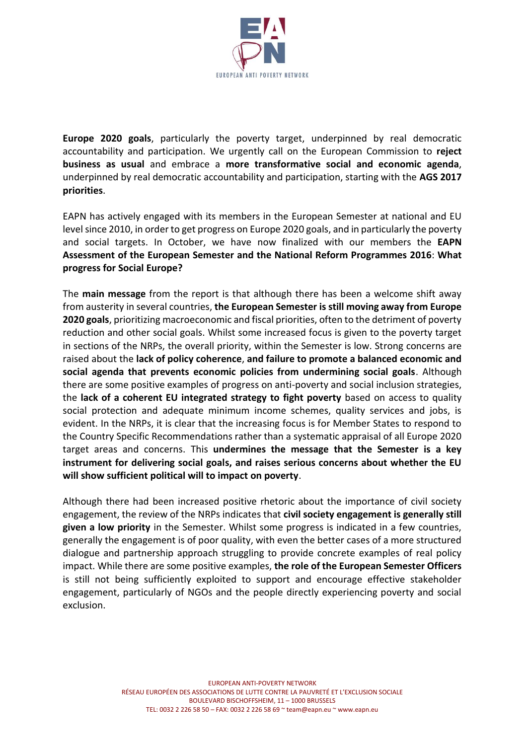

**Europe 2020 goals**, particularly the poverty target, underpinned by real democratic accountability and participation. We urgently call on the European Commission to **reject business as usual** and embrace a **more transformative social and economic agenda**, underpinned by real democratic accountability and participation, starting with the **AGS 2017 priorities**.

EAPN has actively engaged with its members in the European Semester at national and EU level since 2010, in order to get progress on Europe 2020 goals, and in particularly the poverty and social targets. In October, we have now finalized with our members the **EAPN Assessment of the European Semester and the National Reform Programmes 2016**: **What progress for Social Europe?** 

The **main message** from the report is that although there has been a welcome shift away from austerity in several countries, **the European Semester is still moving away from Europe 2020 goals**, prioritizing macroeconomic and fiscal priorities, often to the detriment of poverty reduction and other social goals. Whilst some increased focus is given to the poverty target in sections of the NRPs, the overall priority, within the Semester is low. Strong concerns are raised about the **lack of policy coherence**, **and failure to promote a balanced economic and social agenda that prevents economic policies from undermining social goals**. Although there are some positive examples of progress on anti-poverty and social inclusion strategies, the **lack of a coherent EU integrated strategy to fight poverty** based on access to quality social protection and adequate minimum income schemes, quality services and jobs, is evident. In the NRPs, it is clear that the increasing focus is for Member States to respond to the Country Specific Recommendations rather than a systematic appraisal of all Europe 2020 target areas and concerns. This **undermines the message that the Semester is a key instrument for delivering social goals, and raises serious concerns about whether the EU will show sufficient political will to impact on poverty**.

Although there had been increased positive rhetoric about the importance of civil society engagement, the review of the NRPs indicates that **civil society engagement is generally still given a low priority** in the Semester. Whilst some progress is indicated in a few countries, generally the engagement is of poor quality, with even the better cases of a more structured dialogue and partnership approach struggling to provide concrete examples of real policy impact. While there are some positive examples, **the role of the European Semester Officers** is still not being sufficiently exploited to support and encourage effective stakeholder engagement, particularly of NGOs and the people directly experiencing poverty and social exclusion.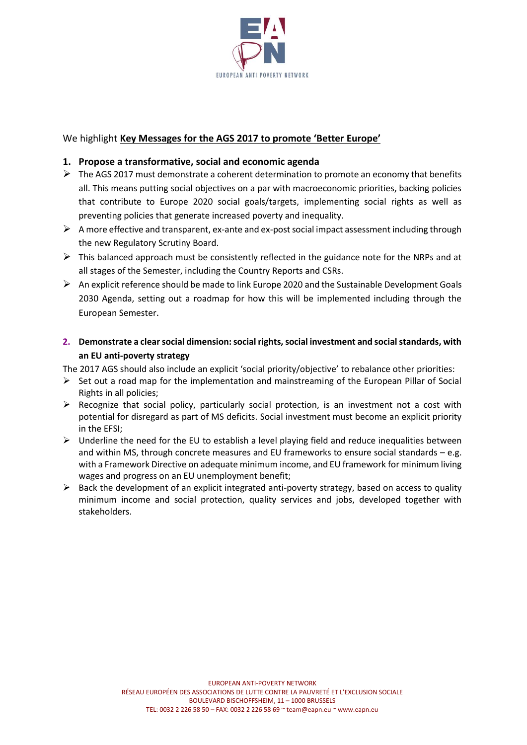

## We highlight **Key Messages for the AGS 2017 to promote 'Better Europe'**

## **1. Propose a transformative, social and economic agenda**

- $\triangleright$  The AGS 2017 must demonstrate a coherent determination to promote an economy that benefits all. This means putting social objectives on a par with macroeconomic priorities, backing policies that contribute to Europe 2020 social goals/targets, implementing social rights as well as preventing policies that generate increased poverty and inequality.
- $\triangleright$  A more effective and transparent, ex-ante and ex-post social impact assessment including through the new Regulatory Scrutiny Board.
- $\triangleright$  This balanced approach must be consistently reflected in the guidance note for the NRPs and at all stages of the Semester, including the Country Reports and CSRs.
- $\triangleright$  An explicit reference should be made to link Europe 2020 and the Sustainable Development Goals 2030 Agenda, setting out a roadmap for how this will be implemented including through the European Semester.
- **2. Demonstrate a clear social dimension: social rights, social investment and social standards, with an EU anti-poverty strategy**
- The 2017 AGS should also include an explicit 'social priority/objective' to rebalance other priorities:
- $\triangleright$  Set out a road map for the implementation and mainstreaming of the European Pillar of Social Rights in all policies;
- $\triangleright$  Recognize that social policy, particularly social protection, is an investment not a cost with potential for disregard as part of MS deficits. Social investment must become an explicit priority in the EFSI;
- $\triangleright$  Underline the need for the EU to establish a level playing field and reduce inequalities between and within MS, through concrete measures and EU frameworks to ensure social standards – e.g. with a Framework Directive on adequate minimum income, and EU framework for minimum living wages and progress on an EU unemployment benefit;
- $\triangleright$  Back the development of an explicit integrated anti-poverty strategy, based on access to quality minimum income and social protection, quality services and jobs, developed together with stakeholders.